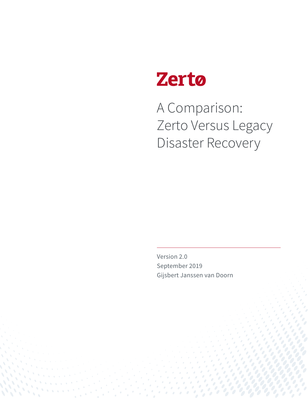

A Comparison: Zerto Versus Legacy Disaster Recovery

Version 2.0 September 2019 Gijsbert Janssen van Doorn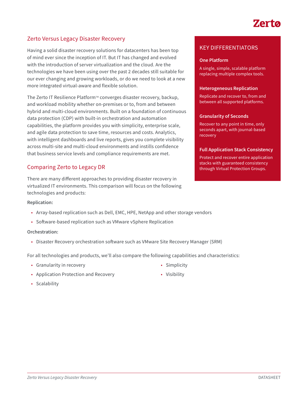# Zerta

# Zerto Versus Legacy Disaster Recovery

Having a solid disaster recovery solutions for datacenters has been top of mind ever since the inception of IT. But IT has changed and evolved with the introduction of server virtualization and the cloud. Are the technologies we have been using over the past 2 decades still suitable for our ever changing and growing workloads, or do we need to look at a new more integrated virtual-aware and flexible solution.

The Zerto IT Resilience Platform™ converges disaster recovery, backup, and workload mobility whether on-premises or to, from and between hybrid and multi-cloud environments. Built on a foundation of continuous data protection (CDP) with built-in orchestration and automation capabilities, the platform provides you with simplicity, enterprise scale, and agile data protection to save time, resources and costs. Analytics, with intelligent dashboards and live reports, gives you complete visibility across multi-site and multi-cloud environments and instills confidence that business service levels and compliance requirements are met.

# Comparing Zerto to Legacy DR

There are many different approaches to providing disaster recovery in virtualized IT environments. This comparison will focus on the following technologies and products:

#### **Replication:**

- Array-based replication such as Dell, EMC, HPE, NetApp and other storage vendors
- Software-based replication such as VMware vSphere Replication

#### **Orchestration:**

• Disaster Recovery orchestration software such as VMware Site Recovery Manager (SRM)

For all technologies and products, we'll also compare the following capabilities and characteristics:

- Granularity in recovery
- Application Protection and Recovery
- Scalability

KEY DIFFERENTIATORS

#### **One Platform**

A single, simple, scalable platform replacing multiple complex tools.

#### **Heterogeneous Replication**

Replicate and recover to, from and between all supported platforms.

#### **Granularity of Seconds**

Recover to any point in time, only seconds apart, with journal-based recovery

#### **Full Application Stack Consistency**

Protect and recover entire application stacks with guaranteed consistency through Virtual Protection Groups.

- Simplicity
- Visibility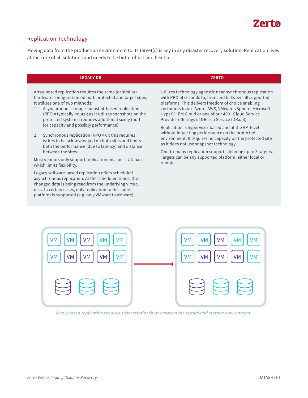

# Replication Technology

Moving data from the production environment to its target(s) is key in any disaster recovery solution. Replication lives at the core of all solutions and needs to be both robust and flexible.

# **LEGACY DR ZERTO**

Array-based replication requires the same (or similar) hardware configuration on both protected and target sites. It utilizes one of two methods:

- 1. Asynchronous storage snapshot-based replication (RPO = typically hours); as it utilizes snapshots on the protected system it requires additional sizing (both for capacity and possibly performance).
- 2. Synchronous replication (RPO = 0); this requires writes to be acknowledged on both sites and limits both the performance (due to latency) and distance between the sites.

Most vendors only support replication on a per-LUN basis which limits flexibility.

Legacy software-based replication offers scheduled asynchronous replication. At the scheduled times, the changed data is being read from the underlying virtual disk. In certain cases, only replication to the same platform is supported (e.g. only VMware to VMware).

Utilizes technology agnostic near-synchronous replication with RPO of seconds to, from and between all supported platforms. This delivers freedom of choice enabling customers to use Azure, AWS, VMware vSphere, Microsoft HyperV, IBM Cloud or one of our 400+ Cloud Service Provider offerings of DR as a Service (DRaaS).

Replication is hypervisor-based and at the VM-level without impacting performance on the protected environment. It requires no capacity on the protected site as it does not use snapshot technology.

One-to-many replication supports defining up to 3 targets. Targets can be any supported platform, either local or remote.



*Array-based replication requires strict relationships between the virtual and storage environment.*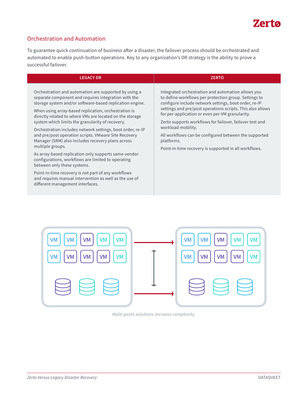

### Orchestration and Automation

To guarantee quick continuation of business after a disaster, the failover process should be orchestrated and automated to enable push-button operations. Key to any organization's DR strategy is the ability to prove a successful failover.

| Integrated orchestration and automation allows you<br>Orchestration and automation are supported by using a<br>separate component and requires integration with the<br>to define workflows per protection group. Settings to<br>storage system and/or software-based replication engine.<br>configure include network settings, boot order, re-IP<br>settings and pre/post operations scripts. This also allows<br>When using array-based replication, orchestration is<br>for per-application or even per-VM granularity.<br>directly related to where VMs are located on the storage<br>system which limits the granularity of recovery.<br>Zerto supports workflows for failover, failover test and<br>workload mobility.<br>Orchestration includes network settings, boot order, re-IP<br>and pre/post operation scripts. VMware Site Recovery<br>All workflows can be configured between the supported<br>Manager (SRM) also includes recovery plans across<br>platforms.<br>multiple groups.<br>Point-in-time recovery is supported in all workflows.<br>As array-based replication only supports same-vendor<br>configurations, workflows are limited to operating<br>between only these systems.<br>Point-in-time recovery is not part of any workflows<br>and requires manual intervention as well as the use of<br>different management interfaces. | <b>LEGACY DR</b> | <b>ZERTO</b> |
|---------------------------------------------------------------------------------------------------------------------------------------------------------------------------------------------------------------------------------------------------------------------------------------------------------------------------------------------------------------------------------------------------------------------------------------------------------------------------------------------------------------------------------------------------------------------------------------------------------------------------------------------------------------------------------------------------------------------------------------------------------------------------------------------------------------------------------------------------------------------------------------------------------------------------------------------------------------------------------------------------------------------------------------------------------------------------------------------------------------------------------------------------------------------------------------------------------------------------------------------------------------------------------------------------------------------------------------------------------------|------------------|--------------|
|                                                                                                                                                                                                                                                                                                                                                                                                                                                                                                                                                                                                                                                                                                                                                                                                                                                                                                                                                                                                                                                                                                                                                                                                                                                                                                                                                               |                  |              |



*Multi-point solutions increase complexity.*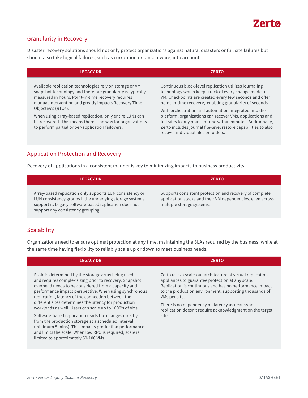

# Granularity in Recovery

Disaster recovery solutions should not only protect organizations against natural disasters or full site failures but should also take logical failures, such as corruption or ransomware, into account.

| <b>LEGACY DR</b>                                                                                                                                                                                                                                                                                                                                                                                                                          | <b>ZERTO</b>                                                                                                                                                                                                                                                                                                                                                                                                                                                                                                                             |
|-------------------------------------------------------------------------------------------------------------------------------------------------------------------------------------------------------------------------------------------------------------------------------------------------------------------------------------------------------------------------------------------------------------------------------------------|------------------------------------------------------------------------------------------------------------------------------------------------------------------------------------------------------------------------------------------------------------------------------------------------------------------------------------------------------------------------------------------------------------------------------------------------------------------------------------------------------------------------------------------|
| Available replication technologies rely on storage or VM<br>snapshot technology and therefore granularity is typically<br>measured in hours. Point-in-time recovery requires<br>manual intervention and greatly impacts Recovery Time<br>Objectives (RTOs).<br>When using array-based replication, only entire LUNs can<br>be recovered. This means there is no way for organizations<br>to perform partial or per-application failovers. | Continuous block-level replication utilizes journaling<br>technology which keeps track of every change made to a<br>VM. Checkpoints are created every few seconds and offer<br>point-in-time recovery, enabling granularity of seconds.<br>With orchestration and automation integrated into the<br>platform, organizations can recover VMs, applications and<br>full sites to any point-in-time within minutes. Additionally,<br>Zerto includes journal file-level restore capabilities to also<br>recover individual files or folders. |

# Application Protection and Recovery

Recovery of applications in a consistent manner is key to minimizing impacts to business productivity.

| <b>LEGACY DR</b>                                                                                                                                                                                                    | <b>ZERTO</b>                                                                                                                                      |
|---------------------------------------------------------------------------------------------------------------------------------------------------------------------------------------------------------------------|---------------------------------------------------------------------------------------------------------------------------------------------------|
| Array-based replication only supports LUN consistency or<br>LUN consistency groups if the underlying storage systems<br>support it. Legacy software-based replication does not<br>support any consistency grouping. | Supports consistent protection and recovery of complete<br>application stacks and their VM dependencies, even across<br>multiple storage systems. |

# **Scalability**

Organizations need to ensure optimal protection at any time, maintaining the SLAs required by the business, while at the same time having flexibility to reliably scale up or down to meet business needs.

| <b>LEGACY DR</b>                                                                                                                                                                                                                                                                                                                                                                                                                                                                                                                                                                                                                                                                       | <b>ZERTO</b>                                                                                                                                                                                                                                                                                                                                                                |
|----------------------------------------------------------------------------------------------------------------------------------------------------------------------------------------------------------------------------------------------------------------------------------------------------------------------------------------------------------------------------------------------------------------------------------------------------------------------------------------------------------------------------------------------------------------------------------------------------------------------------------------------------------------------------------------|-----------------------------------------------------------------------------------------------------------------------------------------------------------------------------------------------------------------------------------------------------------------------------------------------------------------------------------------------------------------------------|
| Scale is determined by the storage array being used<br>and requires complex sizing prior to recovery. Snapshot<br>overhead needs to be considered from a capacity and<br>performance impact perspective. When using synchronous<br>replication, latency of the connection between the<br>different sites determines the latency for production<br>workloads as well. Users can scale up to 1000's of VMs.<br>Software-based replication reads the changes directly<br>from the production storage at a scheduled interval<br>(minimum 5 mins). This impacts production performance<br>and limits the scale. When low RPO is required, scale is<br>limited to approximately 50-100 VMs. | Zerto uses a scale-out architecture of virtual replication<br>appliances to guarantee protection at any scale.<br>Replication is continuous and has no performance impact<br>to the production environment, supporting thousands of<br>VMs per site.<br>There is no dependency on latency as near-sync<br>replication doesn't require acknowledgment on the target<br>site. |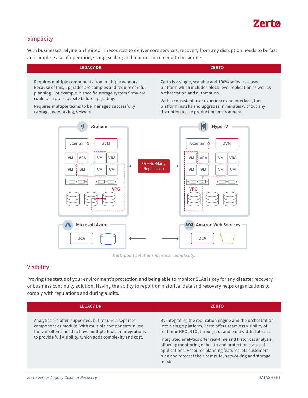

# Simplicity

With businesses relying on limited IT resources to deliver core services, recovery from any disruption needs to be fast and simple. Ease of operation, sizing, scaling and maintenance need to be simple.

| <b>LEGACY DR</b>                                                                                                                                                                     | <b>ZERTO</b>                                                                                                                                                    |
|--------------------------------------------------------------------------------------------------------------------------------------------------------------------------------------|-----------------------------------------------------------------------------------------------------------------------------------------------------------------|
| Requires multiple components from multiple vendors.                                                                                                                                  | Zerto is a single, scalable and 100% software-based                                                                                                             |
| Because of this, upgrades are complex and require careful                                                                                                                            | platform which includes block-level replication as well as                                                                                                      |
| planning. For example, a specific storage system firmware                                                                                                                            | orchestration and automation.                                                                                                                                   |
| could be a pre-requisite before upgrading.                                                                                                                                           | With a consistent user experience and interface, the                                                                                                            |
| Requires multiple teams to be managed successfully                                                                                                                                   | platform installs and upgrades in minutes without any                                                                                                           |
| (storage, networking, VMware).                                                                                                                                                       | disruption to the production environment.                                                                                                                       |
| 闤<br>vSphere<br><b>ZVM</b><br>vCenter<br><b>VRA</b><br>VM<br><b>VRA</b><br><b>VM</b><br>One-to-Many<br>Replication<br><b>VM</b><br><b>VM</b><br><b>VM</b><br><b>VM</b><br><b>VPG</b> | 圖<br>Hyper-V<br>vCenter O<br><b>ZVM</b><br><b>VRA</b><br><b>VRA</b><br><b>VM</b><br><b>VM</b><br><b>VM</b><br><b>VM</b><br>VM<br><b>VM</b><br>ा∙⊺<br><b>VPG</b> |
| <b>Microsoft Azure</b>                                                                                                                                                               | aws Amazon Web Services                                                                                                                                         |
| <b>ZCA</b>                                                                                                                                                                           | <b>ZCA</b>                                                                                                                                                      |

*Multi-point solutions increase complexity.*

### Visibility

Proving the status of your environment's protection and being able to monitor SLAs is key for any disaster recovery or business continuity solution. Having the ability to report on historical data and recovery helps organizations to comply with regulations and during audits.

| <b>LEGACY DR</b>                                                                                                                                                                                                                              | <b>ZERTO</b>                                                                                                                                                                                                                                                                                                                                                                                                                                      |
|-----------------------------------------------------------------------------------------------------------------------------------------------------------------------------------------------------------------------------------------------|---------------------------------------------------------------------------------------------------------------------------------------------------------------------------------------------------------------------------------------------------------------------------------------------------------------------------------------------------------------------------------------------------------------------------------------------------|
| Analytics are often supported, but require a separate<br>component or module. With multiple components in use,<br>there is often a need to have multiple tools or integrations<br>to provide full visibility, which adds complexity and cost. | By integrating the replication engine and the orchestration<br>into a single platform, Zerto offers seamless visibility of<br>real-time RPO, RTO, throughput and bandwidth statistics.<br>Integrated analytics offer real-time and historical analysis,<br>allowing monitoring of health and protection status of<br>applications. Resource planning features lets customers<br>plan and forecast their compute, networking and storage<br>needs. |